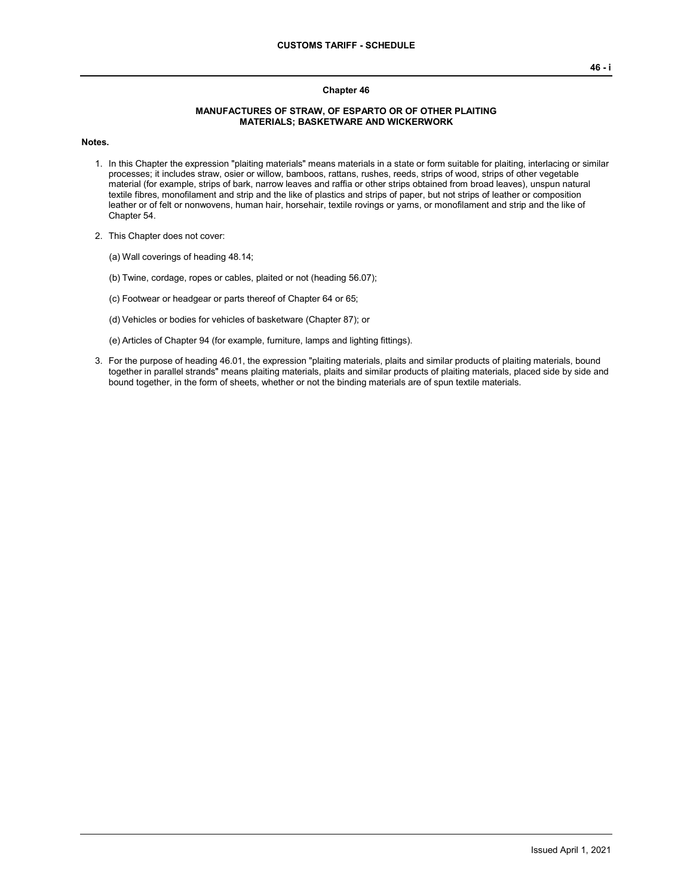## **Chapter 46**

## **MANUFACTURES OF STRAW, OF ESPARTO OR OF OTHER PLAITING MATERIALS; BASKETWARE AND WICKERWORK**

**Notes.**

- 1. In this Chapter the expression "plaiting materials" means materials in a state or form suitable for plaiting, interlacing or similar processes; it includes straw, osier or willow, bamboos, rattans, rushes, reeds, strips of wood, strips of other vegetable material (for example, strips of bark, narrow leaves and raffia or other strips obtained from broad leaves), unspun natural textile fibres, monofilament and strip and the like of plastics and strips of paper, but not strips of leather or composition leather or of felt or nonwovens, human hair, horsehair, textile rovings or yarns, or monofilament and strip and the like of Chapter 54.
- 2. This Chapter does not cover:
	- (a) Wall coverings of heading 48.14;
	- (b) Twine, cordage, ropes or cables, plaited or not (heading 56.07);
	- (c) Footwear or headgear or parts thereof of Chapter 64 or 65;
	- (d) Vehicles or bodies for vehicles of basketware (Chapter 87); or
	- (e) Articles of Chapter 94 (for example, furniture, lamps and lighting fittings).
- 3. For the purpose of heading 46.01, the expression "plaiting materials, plaits and similar products of plaiting materials, bound together in parallel strands" means plaiting materials, plaits and similar products of plaiting materials, placed side by side and bound together, in the form of sheets, whether or not the binding materials are of spun textile materials.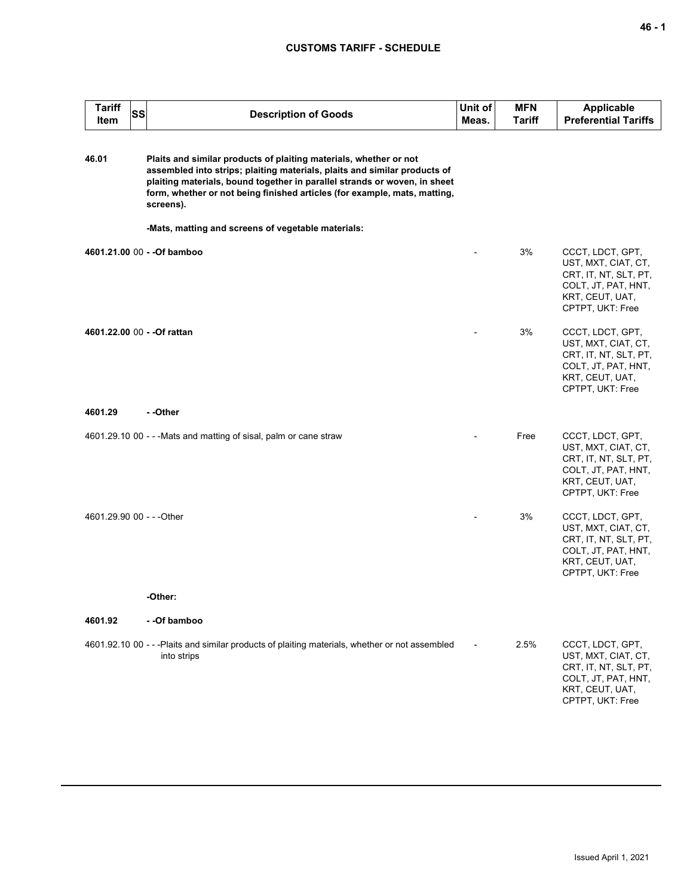## **CUSTOMS TARIFF - SCHEDULE**

| Tariff<br>Item            | <b>SS</b> | <b>Description of Goods</b>                                                                                                                                                                                                                                                                                           | Unit of<br>Meas. | <b>MFN</b><br>Tariff | <b>Applicable</b><br><b>Preferential Tariffs</b>                                                                               |
|---------------------------|-----------|-----------------------------------------------------------------------------------------------------------------------------------------------------------------------------------------------------------------------------------------------------------------------------------------------------------------------|------------------|----------------------|--------------------------------------------------------------------------------------------------------------------------------|
| 46.01                     |           | Plaits and similar products of plaiting materials, whether or not<br>assembled into strips; plaiting materials, plaits and similar products of<br>plaiting materials, bound together in parallel strands or woven, in sheet<br>form, whether or not being finished articles (for example, mats, matting,<br>screens). |                  |                      |                                                                                                                                |
|                           |           | -Mats, matting and screens of vegetable materials:                                                                                                                                                                                                                                                                    |                  |                      |                                                                                                                                |
|                           |           | 4601.21.00 00 - - Of bamboo                                                                                                                                                                                                                                                                                           |                  | 3%                   | CCCT, LDCT, GPT,<br>UST, MXT, CIAT, CT,<br>CRT, IT, NT, SLT, PT,<br>COLT, JT, PAT, HNT,<br>KRT, CEUT, UAT,<br>CPTPT, UKT: Free |
|                           |           | 4601.22.00 00 - - Of rattan                                                                                                                                                                                                                                                                                           |                  | 3%                   | CCCT, LDCT, GPT,<br>UST, MXT, CIAT, CT,<br>CRT, IT, NT, SLT, PT,<br>COLT, JT, PAT, HNT,<br>KRT, CEUT, UAT,<br>CPTPT, UKT: Free |
| 4601.29                   |           | - -Other                                                                                                                                                                                                                                                                                                              |                  |                      |                                                                                                                                |
|                           |           | 4601.29.10 00 - - - Mats and matting of sisal, palm or cane straw                                                                                                                                                                                                                                                     |                  | Free                 | CCCT, LDCT, GPT,<br>UST, MXT, CIAT, CT,<br>CRT, IT, NT, SLT, PT,<br>COLT, JT, PAT, HNT,<br>KRT, CEUT, UAT,<br>CPTPT, UKT: Free |
| 4601.29.90 00 - - - Other |           |                                                                                                                                                                                                                                                                                                                       |                  | 3%                   | CCCT, LDCT, GPT,<br>UST, MXT, CIAT, CT,<br>CRT, IT, NT, SLT, PT,<br>COLT, JT, PAT, HNT,<br>KRT, CEUT, UAT,<br>CPTPT, UKT: Free |
|                           |           | -Other:                                                                                                                                                                                                                                                                                                               |                  |                      |                                                                                                                                |
| 4601.92                   |           | - -Of bamboo                                                                                                                                                                                                                                                                                                          |                  |                      |                                                                                                                                |
|                           |           | 4601.92.10 00 - - - Plaits and similar products of plaiting materials, whether or not assembled<br>into strips                                                                                                                                                                                                        |                  | 2.5%                 | CCCT, LDCT, GPT,<br>UST, MXT, CIAT, CT,<br>CRT, IT, NT, SLT, PT,<br>COLT, JT, PAT, HNT,<br>KRT, CEUT, UAT,<br>CPTPT, UKT: Free |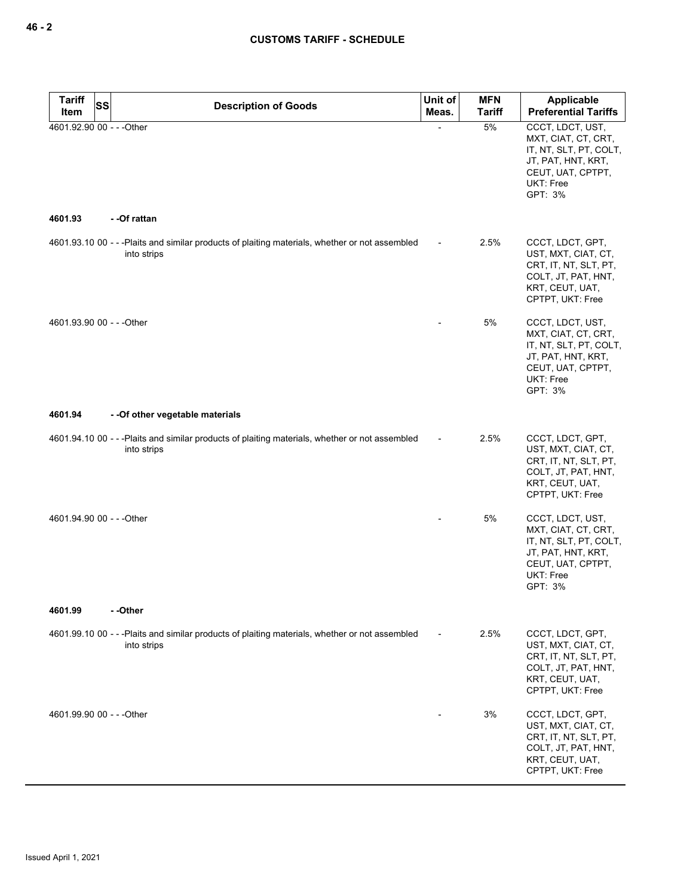| <b>Tariff</b> | SS<br><b>Description of Goods</b>                                                                              | Unit of | <b>MFN</b>    | <b>Applicable</b>                                                                                                                    |
|---------------|----------------------------------------------------------------------------------------------------------------|---------|---------------|--------------------------------------------------------------------------------------------------------------------------------------|
| Item          |                                                                                                                | Meas.   | <b>Tariff</b> | <b>Preferential Tariffs</b>                                                                                                          |
| 4601.93       | 4601.92.90 00 - - - Other<br>- -Of rattan                                                                      |         | 5%            | CCCT, LDCT, UST,<br>MXT, CIAT, CT, CRT,<br>IT, NT, SLT, PT, COLT,<br>JT, PAT, HNT, KRT,<br>CEUT, UAT, CPTPT,<br>UKT: Free<br>GPT: 3% |
|               | 4601.93.10 00 - - - Plaits and similar products of plaiting materials, whether or not assembled                |         | 2.5%          | CCCT, LDCT, GPT,                                                                                                                     |
|               | into strips                                                                                                    |         |               | UST, MXT, CIAT, CT,<br>CRT, IT, NT, SLT, PT,<br>COLT, JT, PAT, HNT,<br>KRT, CEUT, UAT,<br>CPTPT, UKT: Free                           |
|               | 4601.93.90 00 - - - Other                                                                                      |         | 5%            | CCCT, LDCT, UST,<br>MXT, CIAT, CT, CRT,<br>IT, NT, SLT, PT, COLT,<br>JT, PAT, HNT, KRT,<br>CEUT, UAT, CPTPT,<br>UKT: Free<br>GPT: 3% |
| 4601.94       | - - Of other vegetable materials                                                                               |         |               |                                                                                                                                      |
|               |                                                                                                                |         |               |                                                                                                                                      |
|               | 4601.94.10 00 - - - Plaits and similar products of plaiting materials, whether or not assembled<br>into strips |         | 2.5%          | CCCT, LDCT, GPT,<br>UST, MXT, CIAT, CT,<br>CRT, IT, NT, SLT, PT,<br>COLT, JT, PAT, HNT,<br>KRT, CEUT, UAT,<br>CPTPT, UKT: Free       |
|               | 4601.94.90 00 - - - Other                                                                                      |         | 5%            | CCCT, LDCT, UST,                                                                                                                     |
|               |                                                                                                                |         |               | MXT, CIAT, CT, CRT,<br>IT, NT, SLT, PT, COLT,<br>JT, PAT, HNT, KRT,<br>CEUT, UAT, CPTPT,<br>UKT: Free<br>GPT: 3%                     |
| 4601.99       | - -Other                                                                                                       |         |               |                                                                                                                                      |
|               | 4601.99.10 00 - - -Plaits and similar products of plaiting materials, whether or not assembled<br>into strips  |         | 2.5%          | CCCT, LDCT, GPT,<br>UST, MXT, CIAT, CT,<br>CRT, IT, NT, SLT, PT,<br>COLT, JT, PAT, HNT,<br>KRT, CEUT, UAT,<br>CPTPT, UKT: Free       |
|               | 4601.99.90 00 - - - Other                                                                                      |         | 3%            | CCCT, LDCT, GPT,<br>UST, MXT, CIAT, CT,<br>CRT, IT, NT, SLT, PT,<br>COLT, JT, PAT, HNT,<br>KRT, CEUT, UAT,<br>CPTPT, UKT: Free       |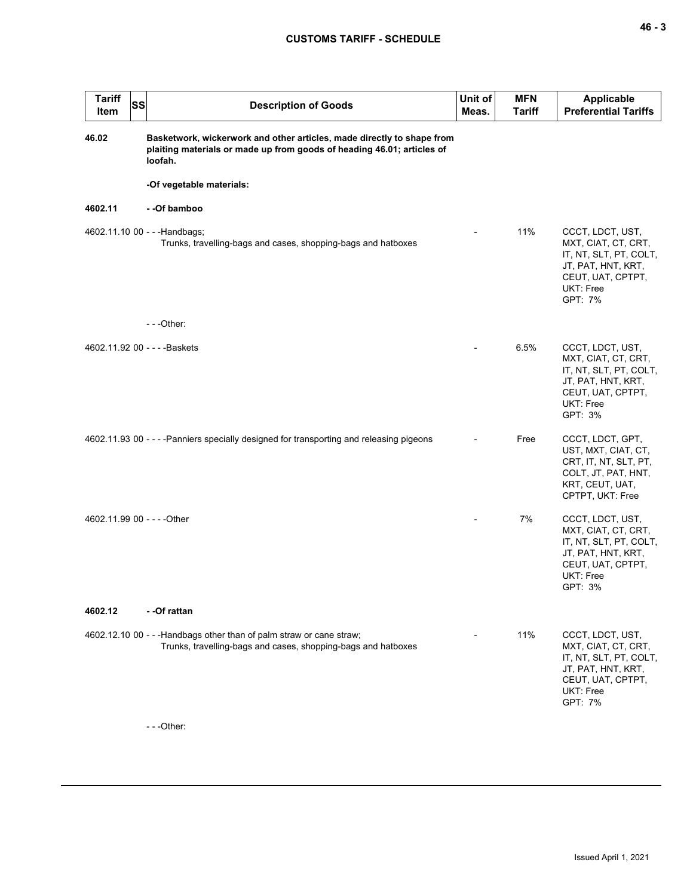| <b>Tariff</b><br><b>SS</b><br>Item | <b>Description of Goods</b>                                                                                                                                 | Unit of<br>Meas. | <b>MFN</b><br><b>Tariff</b> | Applicable<br><b>Preferential Tariffs</b>                                                                                            |
|------------------------------------|-------------------------------------------------------------------------------------------------------------------------------------------------------------|------------------|-----------------------------|--------------------------------------------------------------------------------------------------------------------------------------|
| 46.02                              | Basketwork, wickerwork and other articles, made directly to shape from<br>plaiting materials or made up from goods of heading 46.01; articles of<br>loofah. |                  |                             |                                                                                                                                      |
|                                    | -Of vegetable materials:                                                                                                                                    |                  |                             |                                                                                                                                      |
| 4602.11                            | - -Of bamboo                                                                                                                                                |                  |                             |                                                                                                                                      |
| 4602.11.10 00 - - - Handbags;      | Trunks, travelling-bags and cases, shopping-bags and hatboxes                                                                                               |                  | 11%                         | CCCT, LDCT, UST,<br>MXT, CIAT, CT, CRT,<br>IT, NT, SLT, PT, COLT,<br>JT, PAT, HNT, KRT,<br>CEUT, UAT, CPTPT,<br>UKT: Free<br>GPT: 7% |
|                                    | $- -$ Other:                                                                                                                                                |                  |                             |                                                                                                                                      |
| 4602.11.92 00 - - - - Baskets      |                                                                                                                                                             |                  | 6.5%                        | CCCT, LDCT, UST,<br>MXT, CIAT, CT, CRT,<br>IT, NT, SLT, PT, COLT,<br>JT, PAT, HNT, KRT,<br>CEUT, UAT, CPTPT,<br>UKT: Free<br>GPT: 3% |
|                                    | 4602.11.93 00 - - - - Panniers specially designed for transporting and releasing pigeons                                                                    |                  | Free                        | CCCT, LDCT, GPT,<br>UST, MXT, CIAT, CT,<br>CRT, IT, NT, SLT, PT,<br>COLT, JT, PAT, HNT,<br>KRT, CEUT, UAT,<br>CPTPT, UKT: Free       |
| 4602.11.99 00 - - - - Other        |                                                                                                                                                             |                  | 7%                          | CCCT, LDCT, UST,<br>MXT, CIAT, CT, CRT,<br>IT, NT, SLT, PT, COLT,<br>JT, PAT, HNT, KRT,<br>CEUT, UAT, CPTPT,<br>UKT: Free<br>GPT: 3% |
| 4602.12                            | - -Of rattan                                                                                                                                                |                  |                             |                                                                                                                                      |
|                                    | 4602.12.10 00 - - - Handbags other than of palm straw or cane straw;<br>Trunks, travelling-bags and cases, shopping-bags and hatboxes<br>$- -$ Other:       |                  | 11%                         | CCCT, LDCT, UST,<br>MXT, CIAT, CT, CRT,<br>IT, NT, SLT, PT, COLT,<br>JT, PAT, HNT, KRT,<br>CEUT, UAT, CPTPT,<br>UKT: Free<br>GPT: 7% |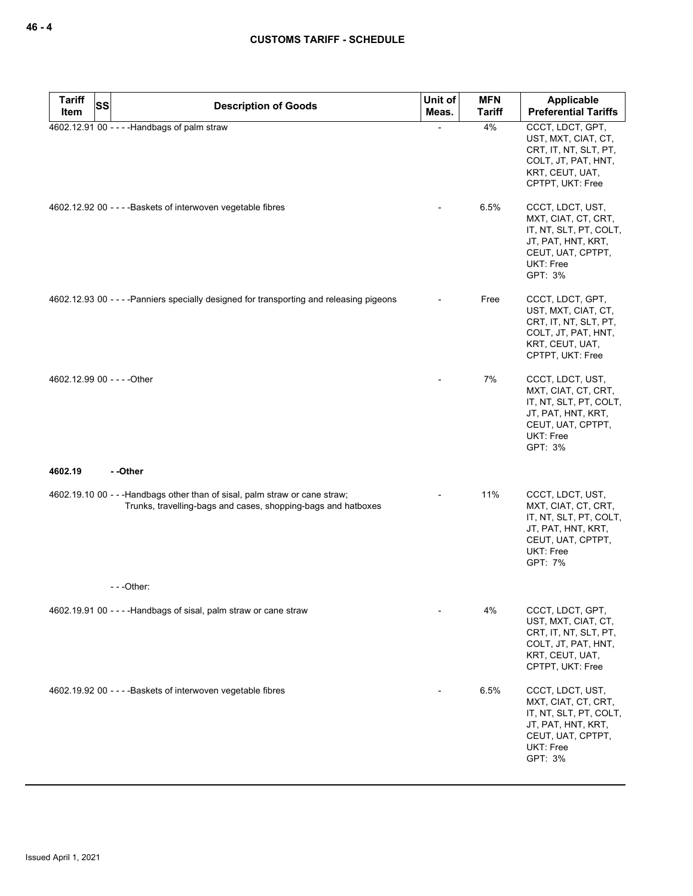| <b>Tariff</b><br>Item | <b>SS</b><br><b>Description of Goods</b>                                                                                                     | Unit of<br>Meas. | <b>MFN</b><br><b>Tariff</b> | Applicable<br><b>Preferential Tariffs</b>                                                                                            |
|-----------------------|----------------------------------------------------------------------------------------------------------------------------------------------|------------------|-----------------------------|--------------------------------------------------------------------------------------------------------------------------------------|
|                       | 4602.12.91 00 - - - - Handbags of palm straw                                                                                                 |                  | 4%                          | CCCT, LDCT, GPT,<br>UST, MXT, CIAT, CT,<br>CRT, IT, NT, SLT, PT,<br>COLT, JT, PAT, HNT,<br>KRT, CEUT, UAT,<br>CPTPT, UKT: Free       |
|                       | 4602.12.92 00 - - - - Baskets of interwoven vegetable fibres                                                                                 |                  | 6.5%                        | CCCT, LDCT, UST,<br>MXT, CIAT, CT, CRT,<br>IT, NT, SLT, PT, COLT,<br>JT, PAT, HNT, KRT,<br>CEUT, UAT, CPTPT,<br>UKT: Free<br>GPT: 3% |
|                       | 4602.12.93 00 - - - - Panniers specially designed for transporting and releasing pigeons                                                     |                  | Free                        | CCCT, LDCT, GPT,<br>UST, MXT, CIAT, CT,<br>CRT, IT, NT, SLT, PT,<br>COLT, JT, PAT, HNT,<br>KRT, CEUT, UAT,<br>CPTPT, UKT: Free       |
|                       | 4602.12.99 00 - - - - Other                                                                                                                  |                  | 7%                          | CCCT, LDCT, UST,<br>MXT, CIAT, CT, CRT,<br>IT, NT, SLT, PT, COLT,<br>JT, PAT, HNT, KRT,<br>CEUT, UAT, CPTPT,<br>UKT: Free<br>GPT: 3% |
| 4602.19               | - -Other                                                                                                                                     |                  |                             |                                                                                                                                      |
|                       | 4602.19.10 00 - - - Handbags other than of sisal, palm straw or cane straw;<br>Trunks, travelling-bags and cases, shopping-bags and hatboxes |                  | 11%                         | CCCT, LDCT, UST,<br>MXT, CIAT, CT, CRT,<br>IT, NT, SLT, PT, COLT,<br>JT, PAT, HNT, KRT,<br>CEUT, UAT, CPTPT,<br>UKT: Free<br>GPT: 7% |
|                       |                                                                                                                                              |                  |                             |                                                                                                                                      |
|                       | 4602.19.91 00 - - - - Handbags of sisal, palm straw or cane straw                                                                            |                  | 4%                          | CCCT, LDCT, GPT,<br>UST, MXT, CIAT, CT,<br>CRT, IT, NT, SLT, PT,<br>COLT, JT, PAT, HNT,<br>KRT, CEUT, UAT,<br>CPTPT, UKT: Free       |
|                       | 4602.19.92 00 - - - - Baskets of interwoven vegetable fibres                                                                                 |                  | 6.5%                        | CCCT, LDCT, UST,<br>MXT, CIAT, CT, CRT,<br>IT, NT, SLT, PT, COLT,<br>JT, PAT, HNT, KRT,<br>CEUT, UAT, CPTPT,<br>UKT: Free<br>GPT: 3% |